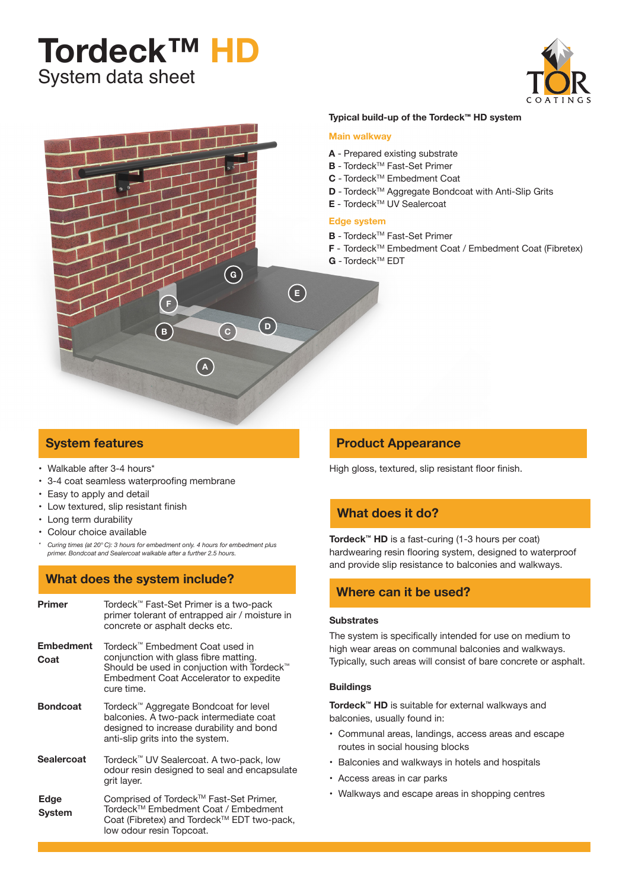# System data sheet **Tordeck™ HD**





## **Typical build-up of the Tordeck™ HD system**

#### **Main walkway**

- **A** Prepared existing substrate
- **B** Tordeck™ Fast-Set Primer
- C Tordeck<sup>™</sup> Embedment Coat
- **D** Tordeck<sup>™</sup> Aggregate Bondcoat with Anti-Slip Grits
- **E** Tordeck™ UV Sealercoat

#### **Edge system**

- **B** Tordeck™ Fast-Set Primer
- **F** Tordeck™ Embedment Coat / Embedment Coat (Fibretex)
- **G** Tordeck™ EDT

## **System features**

- Walkable after 3-4 hours\*
- • 3-4 coat seamless waterproofing membrane
- • Easy to apply and detail
- • Low textured, slip resistant finish
- Long term durability
- • Colour choice available
- *\* Curing times (at 20*° *C): 3 hours for embedment only. 4 hours for embedment plus primer. Bondcoat and Sealercoat walkable after a further 2.5 hours.*

# **What does the system include?**

| Primer                   | Tordeck™ Fast-Set Primer is a two-pack<br>primer tolerant of entrapped air / moisture in<br>concrete or asphalt decks etc.                                                                        |  |  |  |
|--------------------------|---------------------------------------------------------------------------------------------------------------------------------------------------------------------------------------------------|--|--|--|
| <b>Embedment</b><br>Coat | Tordeck™ Embedment Coat used in<br>conjunction with glass fibre matting.<br>Should be used in conjuction with Tordeck <sup>™</sup><br><b>Embedment Coat Accelerator to expedite</b><br>cure time. |  |  |  |
| <b>Bondcoat</b>          | Tordeck™ Aggregate Bondcoat for level<br>balconies. A two-pack intermediate coat<br>designed to increase durability and bond<br>anti-slip grits into the system.                                  |  |  |  |
| <b>Sealercoat</b>        | Tordeck <sup>™</sup> UV Sealercoat. A two-pack, low<br>odour resin designed to seal and encapsulate<br>grit layer.                                                                                |  |  |  |
| Edge<br>System           | Comprised of Tordeck™ Fast-Set Primer,<br>Tordeck™ Embedment Coat / Embedment<br>Coat (Fibretex) and Tordeck™ EDT two-pack,<br>low odour resin Topcoat.                                           |  |  |  |

## **Product Appearance**

High gloss, textured, slip resistant floor finish.

## **What does it do?**

**Tordeck™ HD** is a fast-curing (1-3 hours per coat) hardwearing resin flooring system, designed to waterproof and provide slip resistance to balconies and walkways.

## **Where can it be used?**

#### **Substrates**

The system is specifically intended for use on medium to high wear areas on communal balconies and walkways. Typically, such areas will consist of bare concrete or asphalt.

#### **Buildings**

**Tordeck™ HD** is suitable for external walkways and balconies, usually found in:

- • Communal areas, landings, access areas and escape routes in social housing blocks
- Balconies and walkways in hotels and hospitals
- • Access areas in car parks
- • Walkways and escape areas in shopping centres